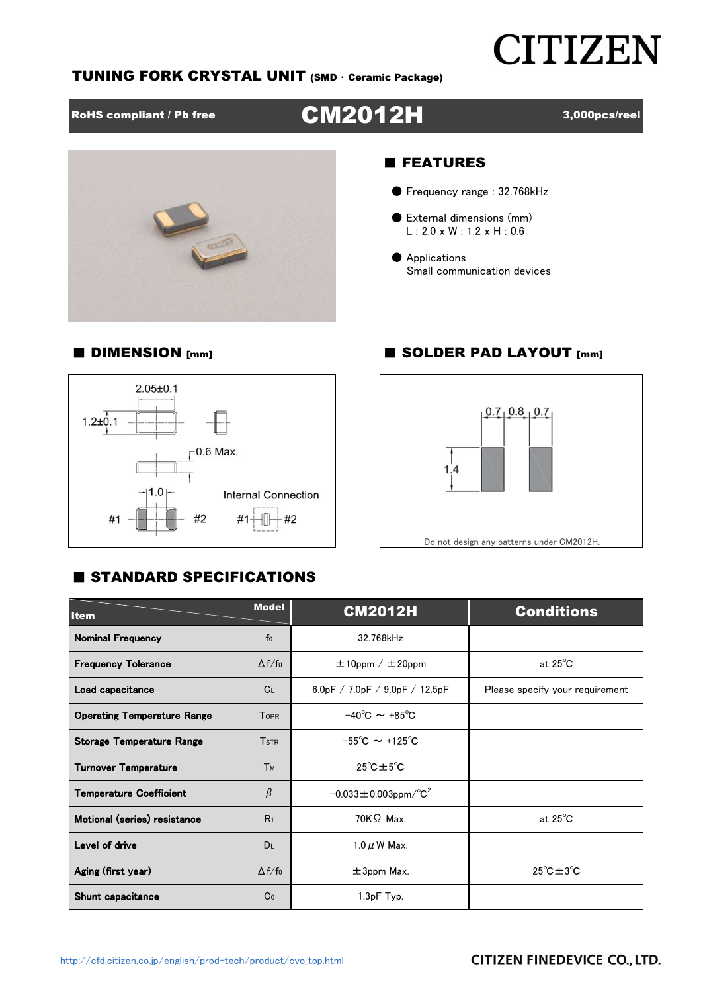# **CITIZEN**

#### TUNING FORK CRYSTAL UNIT (SMD ・ Ceramic Package)

■ DIMENSION [mm]

## RoHS compliant / Pb free **CM2012H**

#### 3,000pcs/reel



#### ■ FEATURES

- Frequency range : 32.768kHz
- External dimensions (mm) L : 2.0 x W : 1.2 x H : 0.6
- Applications Small communication devices

#### ■ SOLDER PAD LAYOUT [mm]





### **E STANDARD SPECIFICATIONS**

| <b>Item</b>                        | <b>Model</b>            | <b>CM2012H</b>                             | <b>Conditions</b>                   |  |  |  |
|------------------------------------|-------------------------|--------------------------------------------|-------------------------------------|--|--|--|
| <b>Nominal Frequency</b>           | $f_0$                   | 32.768kHz                                  |                                     |  |  |  |
| <b>Frequency Tolerance</b>         | $\Delta f/f_0$          | $\pm 10$ ppm / $\pm 20$ ppm                | at $25^{\circ}$ C                   |  |  |  |
| Load capacitance                   | C <sub>L</sub>          | 6.0pF / 7.0pF / 9.0pF / 12.5pF             | Please specify your requirement     |  |  |  |
| <b>Operating Temperature Range</b> | <b>TOPR</b>             | $-40^{\circ}$ C $\sim +85^{\circ}$ C       |                                     |  |  |  |
| <b>Storage Temperature Range</b>   | <b>T</b> <sub>STR</sub> | $-55^{\circ}$ C $\sim$ +125 <sup>°</sup> C |                                     |  |  |  |
| <b>Turnover Temperature</b>        | Тм                      | $25^{\circ}$ C $\pm 5^{\circ}$ C           |                                     |  |  |  |
| <b>Temperature Coefficient</b>     | β                       | $-0.033 \pm 0.003$ ppm/°C <sup>2</sup>     |                                     |  |  |  |
| Motional (series) resistance       | R <sub>1</sub>          | $70K\Omega$ Max.                           | at $25^{\circ}$ C                   |  |  |  |
| Level of drive                     | <b>DL</b>               | $1.0 \mu$ W Max.                           |                                     |  |  |  |
| Aging (first year)                 | $\Delta f/f_0$          | $\pm 3$ ppm Max.                           | $25^{\circ}$ C $\pm$ 3 $^{\circ}$ C |  |  |  |
| Shunt capacitance                  | Co                      | $1.3pF$ Typ.                               |                                     |  |  |  |